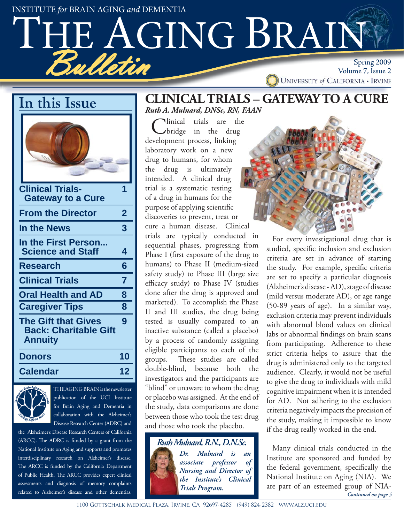Bulletin Spring 2009<br>Spring 2009 Volume 7, Issue 2 INSTITUTE for BRAIN AGING and DEMENTIA Volume 7, Issue 2<br>UNIVERSITY of CALIFORNIA • IRVINE AGING BRAIN

**In this Issue**

| <b>Clinical Trials-</b><br><b>Gateway to a Cure</b>                          | 1                       |
|------------------------------------------------------------------------------|-------------------------|
| <b>From the Director</b>                                                     | $\overline{\mathbf{2}}$ |
| <b>In the News</b>                                                           | 3                       |
| In the First Person<br><b>Science and Staff</b>                              | 4                       |
| <b>Research</b>                                                              | 6                       |
| <b>Clinical Trials</b>                                                       | 7                       |
| <b>Oral Health and AD</b>                                                    | 8                       |
| <b>Caregiver Tips</b>                                                        | 8                       |
| <b>The Gift that Gives</b><br><b>Back: Charitable Gift</b><br><b>Annuity</b> | 9                       |
| Donors                                                                       | 10                      |
| <b>Calendar</b>                                                              | 12                      |



THE AGING BRAIN is the newsletter publication of the UCI Institute for Brain Aging and Dementia in collaboration with the Alzheimer's Disease Research Center (ADRC) and

the Alzheimer's Disease Research Centers of California (ARCC). The ADRC is funded by a grant from the National Institute on Aging and supports and promotes interdisciplinary research on Alzheimer's disease. The ARCC is funded by the California Department of Public Health. The ARCC provides expert clinical assessments and diagnosis of memory complaints related to Alzheimer's disease and other dementias.

# **CLINICAL TRIALS – GATEWAY TO A CURE** *Ruth A. Mulnard, DNSc, RN, FAAN*

Clinical trials are the<br>
bridge in the drug development process, linking laboratory work on a new drug to humans, for whom the drug is ultimately intended. A clinical drug trial is a systematic testing of a drug in humans for the purpose of applying scientific discoveries to prevent, treat or cure a human disease. Clinical trials are typically conducted in sequential phases, progressing from Phase I (first exposure of the drug to humans) to Phase II (medium-sized safety study) to Phase III (large size efficacy study) to Phase IV (studies done after the drug is approved and marketed). To accomplish the Phase II and III studies, the drug being tested is usually compared to an inactive substance (called a placebo) by a process of randomly assigning eligible participants to each of the groups. These studies are called double-blind, because both the investigators and the participants are "blind" or unaware to whom the drug or placebo was assigned. At the end of the study, data comparisons are done between those who took the test drug and those who took the placebo.

> *Ruth Mulnard, R.N., D.N.Sc. Dr. Mulnard is an associate professor of Nursing and Director of the Institute's Clinical Trials Program.*



For every investigational drug that is studied, specific inclusion and exclusion criteria are set in advance of starting the study. For example, specific criteria are set to specify a particular diagnosis (Alzheimer's disease - AD), stage of disease (mild versus moderate AD), or age range (50-89 years of age). In a similar way, exclusion criteria may prevent individuals with abnormal blood values on clinical labs or abnormal findings on brain scans from participating. Adherence to these strict criteria helps to assure that the drug is administered only to the targeted audience. Clearly, it would not be useful to give the drug to individuals with mild cognitive impairment when it is intended for AD. Not adhering to the exclusion criteria negatively impacts the precision of the study, making it impossible to know if the drug really worked in the end.

Many clinical trials conducted in the Institute are sponsored and funded by the federal government, specifically the National Institute on Aging (NIA). We are part of an esteemed group of NIA-*Continued on page 5*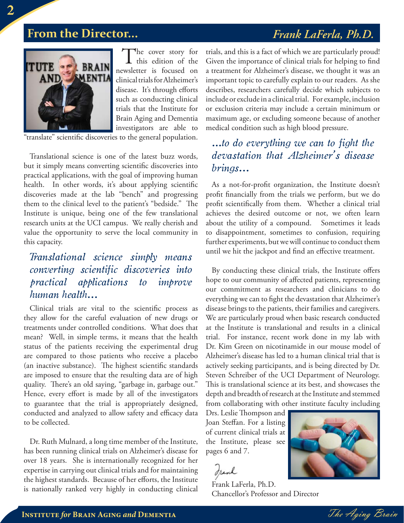# **From the Director...** *Frank LaFerla, Ph.D.*



The cover story for<br>this edition of the newsletter is focused on clinical trials for Alzheimer's disease. It's through efforts such as conducting clinical trials that the Institute for Brain Aging and Dementia investigators are able to

"translate" scientific discoveries to the general population.

Translational science is one of the latest buzz words, but it simply means converting scientific discoveries into practical applications, with the goal of improving human health. In other words, it's about applying scientific discoveries made at the lab "bench" and progressing them to the clinical level to the patient's "bedside." The Institute is unique, being one of the few translational research units at the UCI campus. We really cherish and value the opportunity to serve the local community in this capacity.

# *Translational science simply means converting scientific discoveries into practical applications to improve human health...*

Clinical trials are vital to the scientific process as they allow for the careful evaluation of new drugs or treatments under controlled conditions. What does that mean? Well, in simple terms, it means that the health status of the patients receiving the experimental drug are compared to those patients who receive a placebo (an inactive substance). The highest scientific standards are imposed to ensure that the resulting data are of high quality. There's an old saying, "garbage in, garbage out." Hence, every effort is made by all of the investigators to guarantee that the trial is appropriately designed, conducted and analyzed to allow safety and efficacy data to be collected.

Dr. Ruth Mulnard, a long time member of the Institute, has been running clinical trials on Alzheimer's disease for over 18 years. She is internationally recognized for her expertise in carrying out clinical trials and for maintaining the highest standards. Because of her efforts, the Institute is nationally ranked very highly in conducting clinical

trials, and this is a fact of which we are particularly proud! Given the importance of clinical trials for helping to find a treatment for Alzheimer's disease, we thought it was an important topic to carefully explain to our readers. As she describes, researchers carefully decide which subjects to include or exclude in a clinical trial. For example, inclusion or exclusion criteria may include a certain minimum or maximum age, or excluding someone because of another medical condition such as high blood pressure.

# *...to do everything we can to fight the devastation that Alzheimer's disease brings...*

As a not-for-profit organization, the Institute doesn't profit financially from the trials we perform, but we do profit scientifically from them. Whether a clinical trial achieves the desired outcome or not, we often learn about the utility of a compound. Sometimes it leads to disappointment, sometimes to confusion, requiring further experiments, but we will continue to conduct them until we hit the jackpot and find an effective treatment.

By conducting these clinical trials, the Institute offers hope to our community of affected patients, representing our commitment as researchers and clinicians to do everything we can to fight the devastation that Alzheimer's disease brings to the patients, their families and caregivers. We are particularly proud when basic research conducted at the Institute is translational and results in a clinical trial. For instance, recent work done in my lab with Dr. Kim Green on nicotinamide in our mouse model of Alzheimer's disease has led to a human clinical trial that is actively seeking participants, and is being directed by Dr. Steven Schreiber of the UCI Department of Neurology. This is translational science at its best, and showcases the depth and breadth of research at the Institute and stemmed from collaborating with other institute faculty including

Drs. Leslie Thompson and Joan Steffan. For a listing of current clinical trials at the Institute, please see pages 6 and 7.

Iranh

Frank LaFerla, Ph.D. Chancellor's Professor and Director

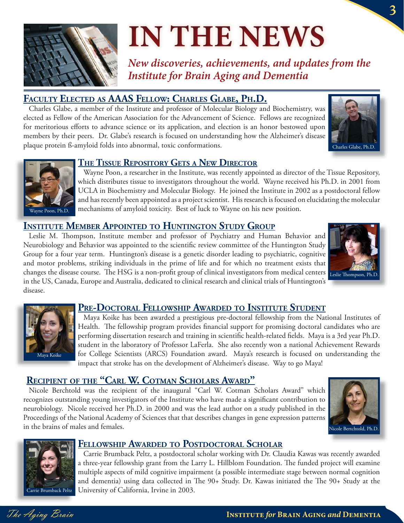

# **IN THE NEWS**

*New discoveries, achievements, and updates from the Institute for Brain Aging and Dementia*

**FACULTS Glabe, a member of the Institute and professor of Molecular Biology and Biochemistry, was** elected as Fellow of the American Association for the Advancement of Science. Fellows are recognized for meritorious efforts to advance science or its application, and election is an honor bestowed upon members by their peers. Dr. Glabe's research is focused on understanding how the Alzheimer's disease plaque protein ß-amyloid folds into abnormal, toxic conformations.





**THE TISSUE REPOSITORS IS NOTE THE TISSUE REPOSITORY**<br>
Wayne Poon, a researcher in the Institute, was recently appointed as director of the Tissue Repository, which distributes tissue to investigators throughout the world. Wayne received his Ph.D. in 2001 from UCLA in Biochemistry and Molecular Biology. He joined the Institute in 2002 as a postdoctoral fellow and has recently been appointed as a project scientist. His research is focused on elucidating the molecular mechanisms of amyloid toxicity. Best of luck to Wayne on his new position.

**ILES 18 M. Thompson, Institute member and professor of Psychiatry and Human Behavior and** Neurobiology and Behavior was appointed to the scientific review committee of the Huntington Study Group for a four year term. Huntington's disease is a genetic disorder leading to psychiatric, cognitive and motor problems, striking individuals in the prime of life and for which no treatment exists that changes the disease course. The HSG is a non-profit group of clinical investigators from medical centers Leslie Thompson, Ph.D. in the US, Canada, Europe and Australia, dedicated to clinical research and clinical trials of Huntington's disease.





**PRESENTMENT CONTORAGE IN THE CONTROLLER PRESENTATION IN THE PRESENTATION IN THE PRESENTATION IS MUCH A PRESENT<br>
Maya Koike has been awarded a prestigious pre-doctoral fellowship from the National Institutes of** Health. The fellowship program provides financial support for promising doctoral candidates who are performing dissertation research and training in scientific health-related fields. Maya is a 3rd year Ph.D. student in the laboratory of Professor LaFerla. She also recently won a national Achievement Rewards for College Scientists (ARCS) Foundation award. Maya's research is focused on understanding the impact that stroke has on the development of Alzheimer's disease. Way to go Maya!

**RECIPIED 2012 2012 1999 11:00 CONTENT CONTROLLERS IN THE THEORY OF THE THEORY OF THE THEORY OF THEORY OF THEORY OF THEORY OF THEORY OF THEORY OF THEORY OF THEORY OF THEORY OF THEORY OF THEORY OF THEORY OF THEORY OF THEORY** recognizes outstanding young investigators of the Institute who have made a significant contribution to neurobiology. Nicole received her Ph.D. in 2000 and was the lead author on a study published in the Proceedings of the National Academy of Sciences that that describes changes in gene expression patterns in the brains of males and females.





**FELLOWSHIP ARTICIOLARE CONSUMISED AREA CONSUMISED AREA CONSUMISED AREA CARRIE Brumback Peltz, a postdoctoral scholar working with Dr. Claudia Kawas was recently awarded** a three-year fellowship grant from the Larry L. Hillblom Foundation. The funded project will examine multiple aspects of mild cognitive impairment (a possible intermediate stage between normal cognition and dementia) using data collected in The 90+ Study. Dr. Kawas initiated the The 90+ Study at the University of California, Irvine in 2003.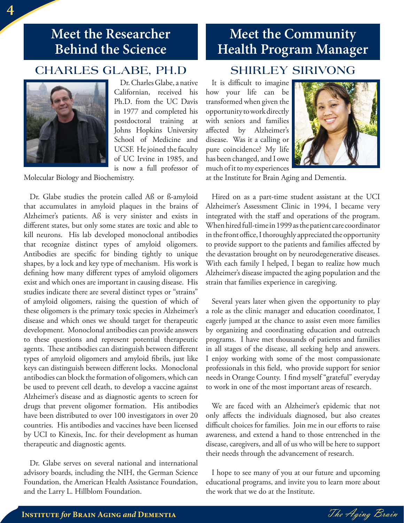# **Meet the Researcher Behind the Science**

# **CHARLES GLABE, PH.D**



Dr. Charles Glabe, a native Californian, received his Ph.D. from the UC Davis in 1977 and completed his postdoctoral training at Johns Hopkins University School of Medicine and UCSF. He joined the faculty of UC Irvine in 1985, and is now a full professor of

Molecular Biology and Biochemistry.

Dr. Glabe studies the protein called Aß or ß-amyloid that accumulates in amyloid plaques in the brains of Alzheimer's patients. Aß is very sinister and exists in different states, but only some states are toxic and able to kill neurons. His lab developed monoclonal antibodies that recognize distinct types of amyloid oligomers. Antibodies are specific for binding tightly to unique shapes, by a lock and key type of mechanism. His work is defining how many different types of amyloid oligomers exist and which ones are important in causing disease. His studies indicate there are several distinct types or "strains" of amyloid oligomers, raising the question of which of these oligomers is the primary toxic species in Alzheimer's disease and which ones we should target for therapeutic development. Monoclonal antibodies can provide answers to these questions and represent potential therapeutic agents. These antibodies can distinguish between different types of amyloid oligomers and amyloid fibrils, just like keys can distinguish between different locks. Monoclonal antibodies can block the formation of oligomers, which can be used to prevent cell death, to develop a vaccine against Alzheimer's disease and as diagnostic agents to screen for drugs that prevent oligomer formation. His antibodies have been distributed to over 100 investigators in over 20 countries. His antibodies and vaccines have been licensed by UCI to Kinexis, Inc. for their development as human therapeutic and diagnostic agents.

Dr. Glabe serves on several national and international advisory boards, including the NIH, the German Science Foundation, the American Health Assistance Foundation, and the Larry L. Hillblom Foundation.

# **Meet the Community Health Program Manager**

## **SHIRLEY SIRIVONG**

It is difficult to imagine how your life can be transformed when given the opportunity to work directly with seniors and families affected by Alzheimer's disease. Was it a calling or pure coincidence? My life has been changed, and I owe much of it to my experiences



at the Institute for Brain Aging and Dementia.

Hired on as a part-time student assistant at the UCI Alzheimer's Assessment Clinic in 1994, I became very integrated with the staff and operations of the program. When hired full-time in 1999 as the patient care coordinator in the front office, I thoroughly appreciated the opportunity to provide support to the patients and families affected by the devastation brought on by neurodegenerative diseases. With each family I helped, I began to realize how much Alzheimer's disease impacted the aging population and the strain that families experience in caregiving.

Several years later when given the opportunity to play a role as the clinic manager and education coordinator, I eagerly jumped at the chance to assist even more families by organizing and coordinating education and outreach programs. I have met thousands of patients and families in all stages of the disease, all seeking help and answers. I enjoy working with some of the most compassionate professionals in this field, who provide support for senior needs in Orange County. I find myself "grateful" everyday to work in one of the most important areas of research.

We are faced with an Alzheimer's epidemic that not only aff ects the individuals diagnosed, but also creates difficult choices for families. Join me in our efforts to raise awareness, and extend a hand to those entrenched in the disease, caregivers, and all of us who will be here to support their needs through the advancement of research.

I hope to see many of you at our future and upcoming educational programs, and invite you to learn more about the work that we do at the Institute.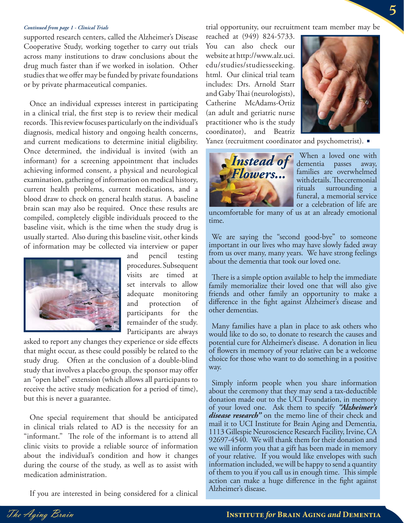### *Continued from page 1 - Clinical Trials*

supported research centers, called the Alzheimer's Disease Cooperative Study, working together to carry out trials across many institutions to draw conclusions about the drug much faster than if we worked in isolation. Other studies that we offer may be funded by private foundations or by private pharmaceutical companies.

Once an individual expresses interest in participating in a clinical trial, the first step is to review their medical records. This review focuses particularly on the individual's diagnosis, medical history and ongoing health concerns, and current medications to determine initial eligibility. Once determined, the individual is invited (with an informant) for a screening appointment that includes achieving informed consent, a physical and neurological examination, gathering of information on medical history, current health problems, current medications, and a blood draw to check on general health status. A baseline brain scan may also be required. Once these results are compiled, completely eligible individuals proceed to the baseline visit, which is the time when the study drug is usually started. Also during this baseline visit, other kinds of information may be collected via interview or paper



and pencil testing procedures. Subsequent visits are timed at set intervals to allow adequate monitoring and protection of participants for the remainder of the study. Participants are always

asked to report any changes they experience or side effects that might occur, as these could possibly be related to the study drug. Often at the conclusion of a double-blind study that involves a placebo group, the sponsor may offer an "open label" extension (which allows all participants to receive the active study medication for a period of time), but this is never a guarantee.

One special requirement that should be anticipated in clinical trials related to AD is the necessity for an "informant." The role of the informant is to attend all clinic visits to provide a reliable source of information about the individual's condition and how it changes during the course of the study, as well as to assist with medication administration.

If you are interested in being considered for a clinical

trial opportunity, our recruitment team member may be

reached at (949) 824-5733. You can also check our website at http://www.alz.uci. edu/studies/studiesseeking. html. Our clinical trial team includes: Drs. Arnold Starr and Gaby Thai (neurologists), Catherine McAdams-Ortiz (an adult and geriatric nurse practitioner who is the study coordinator), and Beatriz



**5**

Yanez (recruitment coordinator and psychometrist).



When a loved one with dementia passes away, families are overwhelmed with details. The ceremonial rituals surrounding a funeral, a memorial service or a celebration of life are

uncomfortable for many of us at an already emotional time.

We are saying the "second good-bye" to someone important in our lives who may have slowly faded away from us over many, many years. We have strong feelings about the dementia that took our loved one.

There is a simple option available to help the immediate family memorialize their loved one that will also give friends and other family an opportunity to make a difference in the fight against Alzheimer's disease and other dementias.

Many families have a plan in place to ask others who would like to do so, to donate to research the causes and potential cure for Alzheimer's disease. A donation in lieu of flowers in memory of your relative can be a welcome choice for those who want to do something in a positive way.

Simply inform people when you share information about the ceremony that they may send a tax-deductible donation made out to the UCI Foundation, in memory of your loved one. Ask them to specify *"Alzheimer's disease research"* on the memo line of their check and mail it to UCI Institute for Brain Aging and Dementia, 1113 Gillespie Neuroscience Research Facility, Irvine, CA 92697-4540. We will thank them for their donation and we will inform you that a gift has been made in memory of your relative. If you would like envelopes with such information included, we will be happy to send a quantity of them to you if you call us in enough time. This simple action can make a huge difference in the fight against Alzheimer's disease.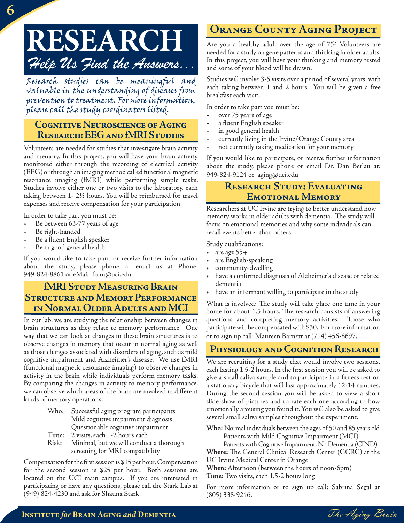# **RESEARCH** *Help Us Find the Answers...*

Research studies can be meaningful and valuable in the understanding of diseases from prevention to treatment. For more information, please call the study coordinators listed.

### **Cognitive Neuroscience of Aging Research: EEG and fMRI Studies**

Volunteers are needed for studies that investigate brain activity and memory. In this project, you will have your brain activity monitored either through the recording of electrical activity (EEG) or through an imaging method called functional magnetic resonance imaging (fMRI) while performing simple tasks. Studies involve either one or two visits to the laboratory, each taking between 1- 2½ hours. You will be reimbursed for travel expenses and receive compensation for your participation.

In order to take part you must be:

- Be between 63-77 years of age
- Be right-handed
- Be a fluent English speaker
- Be in good general health

If you would like to take part, or receive further information about the study, please phone or email us at Phone: 949-824-8861 or eMail: fnim@uci.edu

### **fMRI Study Measuring Brain Structure and Memory Performance in Normal Older Adults and MCI**

In our lab, we are studying the relationship between changes in brain structures as they relate to memory performance. One way that we can look at changes in these brain structures is to observe changes in memory that occur in normal aging as well as those changes associated with disorders of aging, such as mild cognitive impairment and Alzheimer's disease. We use fMRI (functional magnetic resonance imaging) to observe changes in activity in the brain while individuals perform memory tasks. By comparing the changes in activity to memory performance, we can observe which areas of the brain are involved in different kinds of memory operations.

- Who: Successful aging program participants Mild cognitive impairment diagnosis Questionable cognitive impairment
- Time: 2 visits, each 1-2 hours each
- Risk: Minimal, but we will conduct a thorough screening for MRI compatibility

Compensation for the first session is \$15 per hour. Compensation for the second session is \$25 per hour. Both sessions are located on the UCI main campus. If you are interested in participating or have any questions, please call the Stark Lab at (949) 824-4230 and ask for Shauna Stark.

# **Orange County Aging Project**

Are you a healthy adult over the age of 75? Volunteers are needed for a study on gene patterns and thinking in older adults. In this project, you will have your thinking and memory tested and some of your blood will be drawn.

Studies will involve 3-5 visits over a period of several years, with each taking between 1 and 2 hours. You will be given a free breakfast each visit.

In order to take part you must be:

- over 75 years of age
- a fluent English speaker
- in good general health
- currently living in the Irvine/Orange County area
- not currently taking medication for your memory

If you would like to participate, or receive further information about the study, please phone or email Dr. Dan Berlau at: 949-824-9124 or aging@uci.edu

### **Research Study: Evaluating Emotional Memory**

Researchers at UC Irvine are trying to better understand how memory works in older adults with dementia. The study will focus on emotional memories and why some individuals can recall events better than others.

Study qualifications:

- are age 55+
- are English-speaking
- community-dwelling
- have a confirmed diagnosis of Alzheimer's disease or related dementia
- have an informant willing to participate in the study

What is involved: The study will take place one time in your home for about 1.5 hours. The research consists of answering questions and completing memory activities. Those who participate will be compensated with \$30. For more information or to sign up call: Maureen Barnett at (714) 456-8697.

### **Physiology and Cognition Research**

We are recruiting for a study that would involve two sessions, each lasting 1.5-2 hours. In the first session you will be asked to give a small saliva sample and to participate in a fitness test on a stationary bicycle that will last approximately 12-14 minutes. During the second session you will be asked to view a short slide show of pictures and to rate each one according to how emotionally arousing you found it. You will also be asked to give several small saliva samples throughout the experiment.

**Who:** Normal individuals between the ages of 50 and 85 years old Patients with Mild Cognitive Impairment (MCI)

Patients with Cognitive Impairment, No Dementia (CIND)

**Where:** The General Clinical Research Center (GCRC) at the UC Irvine Medical Center in Orange

**When:** Afternoon (between the hours of noon-6pm)

**Time:** Two visits, each 1.5-2 hours long

For more information or to sign up call: Sabrina Segal at (805) 338-9246.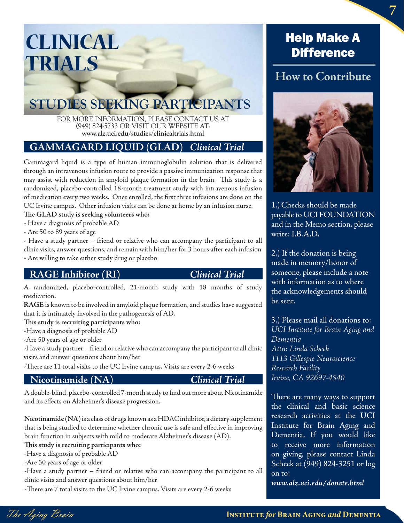# **CLINICAL TRIALS**

# **STUDIES SEEKING PARTICIPANTS**

FOR MORE INFORMATION, PLEASE CONTACT US AT (949) 824-5733 OR VISIT OUR WEBSITE AT: **www.alz.uci.edu/studies/clinicaltrials.html**

### **GAMMAGARD LIQUID (GLAD)** *Clinical Trial*

Gammagard liquid is a type of human immunoglobulin solution that is delivered through an intravenous infusion route to provide a passive immunization response that may assist with reduction in amyloid plaque formation in the brain. This study is a randomized, placebo-controlled 18-month treatment study with intravenous infusion of medication every two weeks. Once enrolled, the first three infusions are done on the UC Irvine campus. Other infusion visits can be done at home by an infusion nurse.

### The GLAD study is seeking volunteers who:

- Have a diagnosis of probable AD

- Are 50 to 89 years of age

- Have a study partner – friend or relative who can accompany the participant to all clinic visits, answer questions, and remain with him/her for 3 hours after each infusion - Are willing to take either study drug or placebo

**RAGE Inhibitor (RI)** *Clinical Trial* A randomized, placebo-controlled, 21-month study with 18 months of study medication.

**RAGE** is known to be involved in amyloid plaque formation, and studies have suggested that it is intimately involved in the pathogenesis of AD.

This study is recruiting participants who:

-Have a diagnosis of probable AD

-Are 50 years of age or older

-Have a study partner – friend or relative who can accompany the participant to all clinic visits and answer questions about him/her

-There are 11 total visits to the UC Irvine campus. Visits are every 2-6 weeks

**Nicotinamide (NA)**<br> *A* double-blind, placebo-controlled 7-month study to find out more about Nicotinamide and its effects on Alzheimer's disease progression.

**Nicotinamide (NA)** is a class of drugs known as a HDAC inhibitor, a dietary supplement that is being studied to determine whether chronic use is safe and effective in improving brain function in subjects with mild to moderate Alzheimer's disease (AD).

This study is recruiting participants who:

-Have a diagnosis of probable AD

-Are 50 years of age or older

-Have a study partner – friend or relative who can accompany the participant to all clinic visits and answer questions about him/her

-There are 7 total visits to the UC Irvine campus. Visits are every 2-6 weeks

# Help Make A **Difference**

# **How to Contribute**



1.)Checks should be made payable to UCI FOUNDATION and in the Memo section, please write: I.B.A.D.

2.) If the donation is being made in memory/honor of someone, please include a note with information as to where the acknowledgements should be sent.

3.) Please mail all donations to: *UCI Institute for Brain Aging and Dementia Attn: Linda Scheck 1113 Gillespie Neuroscience Research Facility Irvine, CA 92697-4540*

There are many ways to support the clinical and basic science research activities at the UCI Institute for Brain Aging and Dementia. If you would like to receive more information on giving, please contact Linda Scheck at (949) 824-3251 or log on to:

*www.alz.uci.edu/donate.html*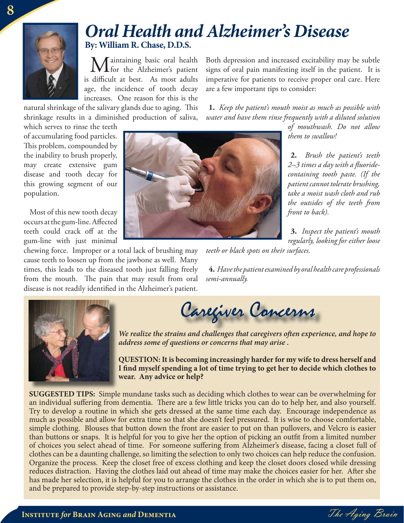

# **By: William R. Chase, D.D.S.** *Oral Health and Alzheimer's Disease*

Maintaining basic oral health  $\blacktriangle$  for the Alzheimer's patient is difficult at best. As most adults age, the incidence of tooth decay increases. One reason for this is the

natural shrinkage of the salivary glands due to aging. This shrinkage results in a diminished production of saliva,

which serves to rinse the teeth of accumulating food particles. This problem, compounded by the inability to brush properly, may create extensive gum disease and tooth decay for this growing segment of our population.

Most of this new tooth decay occurs at the gum-line. Affected teeth could crack off at the gum-line with just minimal

chewing force. Improper or a total lack of brushing may cause teeth to loosen up from the jawbone as well. Many times, this leads to the diseased tooth just falling freely from the mouth. The pain that may result from oral disease is not readily identified in the Alzheimer's patient.

Both depression and increased excitability may be subtle signs of oral pain manifesting itself in the patient. It is imperative for patients to receive proper oral care. Here are a few important tips to consider:

**1.** *Keep the patient's mouth moist as much as possible with water and have them rinse frequently with a diluted solution* 

*of mouthwash. Do not allow them to swallow!*

**2.** *Brush the patient's teeth 2–3 times a day with a fl uoridecontaining tooth paste. (If the patient cannot tolerate brushing, take a moist wash cloth and rub the outsides of the teeth from front to back).*

**3.** *Inspect the patient's mouth regularly, looking for either loose* 

*teeth or black spots on their surfaces.*

**4.** *Have the patient examined by oral health care professionals semi-annually.*



Caregiver Concerns

*We realize the strains and challenges that caregivers often experience, and hope to address some of questions or concerns that may arise .*

**QUESTION: It is becoming increasingly harder for my wife to dress herself and**  I find myself spending a lot of time trying to get her to decide which clothes to **wear. Any advice or help?**

**SUGGESTED TIPS:** Simple mundane tasks such as deciding which clothes to wear can be overwhelming for an individual suffering from dementia. There are a few little tricks you can do to help her, and also yourself. Try to develop a routine in which she gets dressed at the same time each day. Encourage independence as much as possible and allow for extra time so that she doesn't feel pressured. It is wise to choose comfortable, simple clothing. Blouses that button down the front are easier to put on than pullovers, and Velcro is easier than buttons or snaps. It is helpful for you to give her the option of picking an outfi t from a limited number of choices you select ahead of time. For someone suffering from Alzheimer's disease, facing a closet full of clothes can be a daunting challenge, so limiting the selection to only two choices can help reduce the confusion. Organize the process. Keep the closet free of excess clothing and keep the closet doors closed while dressing reduces distraction. Having the clothes laid out ahead of time may make the choices easier for her. After she has made her selection, it is helpful for you to arrange the clothes in the order in which she is to put them on, and be prepared to provide step-by-step instructions or assistance.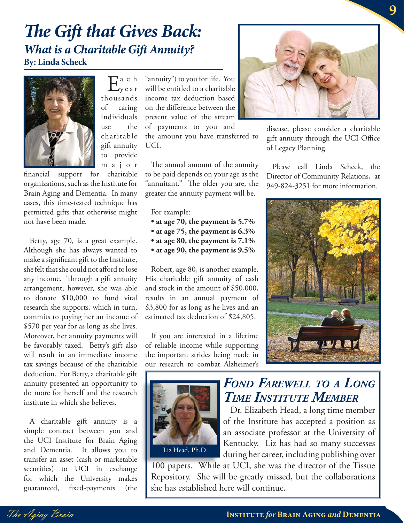# *What is a Charitable Gift Annuity?*  **By: Linda Scheck The Gift that Gives Back:**



 $E_{\text{year}}^{\text{a c h}}$ thousands of caring individuals use the charitable gift annuity to provide m a j o r

financial support for charitable organizations, such as the Institute for Brain Aging and Dementia. In many cases, this time-tested technique has permitted gifts that otherwise might not have been made.

Betty, age 70, is a great example. Although she has always wanted to make a significant gift to the Institute, she felt that she could not afford to lose any income. Through a gift annuity arrangement, however, she was able to donate \$10,000 to fund vital research she supports, which in turn, commits to paying her an income of \$570 per year for as long as she lives. Moreover, her annuity payments will be favorably taxed. Betty's gift also will result in an immediate income tax savings because of the charitable deduction. For Betty, a charitable gift annuity presented an opportunity to do more for herself and the research institute in which she believes.

A charitable gift annuity is a simple contract between you and the UCI Institute for Brain Aging and Dementia. It allows you to transfer an asset (cash or marketable securities) to UCI in exchange for which the University makes guaranteed, fixed-payments (the

"annuity") to you for life. You will be entitled to a charitable income tax deduction based on the difference between the present value of the stream of payments to you and

the amount you have transferred to UCI.

The annual amount of the annuity to be paid depends on your age as the "annuitant." The older you are, the greater the annuity payment will be.

For example:

- **at age 70, the payment is 5.7%**
- 
- $\bullet$  at age 80, the payment is  $7.1\%$ • at age 80, the payment is 9.5%
- **at age 90, the payment is 9.5%**

Robert, age 80, is another example. His charitable gift annuity of cash and stock in the amount of \$50,000, results in an annual payment of \$3,800 for as long as he lives and an estimated tax deduction of \$24,805.

If you are interested in a lifetime of reliable income while supporting the important strides being made in our research to combat Alzheimer's





disease, please consider a charitable gift annuity through the UCI Office of Legacy Planning.

Please call Linda Scheck, the Director of Community Relations, at 949-824-3251 for more information.



# *FOND FAREWELL TO A LONG TIME INSTITUTE MEMBER*

Dr. Elizabeth Head, a long time member of the Institute has accepted a position as an associate professor at the University of Kentucky. Liz has had so many successes during her career, including publishing over

100 papers. While at UCI, she was the director of the Tissue Repository. She will be greatly missed, but the collaborations she has established here will continue.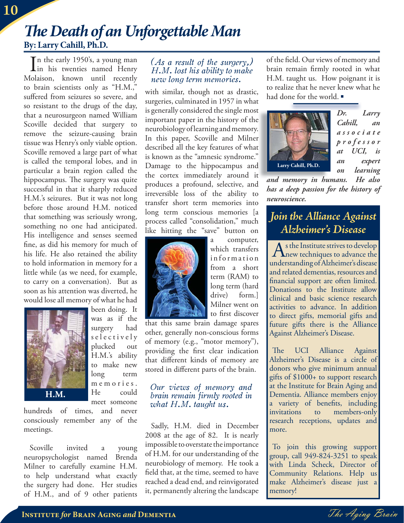# **By: Larry Cahill, Ph.D.** *Th e Death of an Unforgettable Man*

In the early 1950's, a young man<br>
in his twenties named Henry  $\mathbf{I}$  in his twenties named Henry Molaison, known until recently to brain scientists only as "H.M.," suffered from seizures so severe, and so resistant to the drugs of the day, that a neurosurgeon named William Scoville decided that surgery to remove the seizure-causing brain tissue was Henry's only viable option. Scoville removed a large part of what is called the temporal lobes, and in particular a brain region called the hippocampus. The surgery was quite successful in that it sharply reduced H.M.'s seizures. But it was not long before those around H.M. noticed that something was seriously wrong, something no one had anticipated. His intelligence and senses seemed fine, as did his memory for much of his life. He also retained the ability to hold information in memory for a little while (as we need, for example, to carry on a conversation). But as soon as his attention was diverted, he would lose all memory of what he had



been doing. It was as if the surgery had s e l e c t i v e l y plucked out H.M.'s ability to make new long term m e m o r i e s. He could meet someone

hundreds of times, and never consciously remember any of the meetings.

Scoville invited a young neuropsychologist named Brenda Milner to carefully examine H.M. to help understand what exactly the surgery had done. Her studies of H.M., and of 9 other patients

### *(As a result of the surgery,) H.M. lost his ability to make new long term memories.*

with similar, though not as drastic, surgeries, culminated in 1957 in what is generally considered the single most important paper in the history of the neurobiology of learning and memory. . In this paper, Scoville and Milner described all the key features of what is known as the "amnesic syndrome." Damage to the hippocampus and the cortex immediately around it produces a profound, selective, and irreversible loss of the ability to transfer short term memories into long term conscious memories [a process called "consolidation," much like hitting the "save" button on



a computer, which transfers information from a short term (RAM) to long term (hard drive) form.] Milner went on to first discover

that this same brain damage spares other, generally non-conscious forms of memory (e.g., "motor memory"), providing the first clear indication that different kinds of memory are stored in different parts of the brain.

### *Our views of memory and brain remain firmly rooted in what H.M. taught us.*

Sadly, H.M. died in December 2008 at the age of 82. It is nearly impossible to overstate the importance of H.M. for our understanding of the neurobiology of memory. He took a field that, at the time, seemed to have reached a dead end, and reinvigorated it, permanently altering the landscape of the field. Our views of memory and brain remain firmly rooted in what H.M. taught us. How poignant it is to realize that he never knew what he had done for the world.



*Dr. Larry Cahill, an a s s o c i a t e p r o f e s s o r at UCI, is an expert on learning* 

t and memory in humans. He also *has a deep passion for the history of neuroscience.*

# *Join the Alliance Against*

 $\bigwedge_{n \in \mathbb{N}}$  s the Institute strives to develop<br>  $\bigwedge_{n=1}^{\infty}$  is  $\bigwedge_{n=1}^{\infty}$  in  $\bigwedge_{n=1}^{\infty}$  in  $\bigwedge_{n=1}^{\infty}$  in  $\bigwedge_{n=1}^{\infty}$ understanding of Alzheimer's disease and related dementias, resources and financial support are often limited. Donations to the Institute allow clinical and basic science research activities to advance. In addition to direct gifts, memorial gifts and future gifts there is the Alliance Against Alzheimer's Disease. *Alzheimer's Disease*

The UCI Alliance Against Alzheimer's Disease is a circle of donors who give minimum annual gifts of \$1000+ to support research at the Institute for Brain Aging and Dementia. Alliance members enjoy a variety of benefits, including invitations to members-only research receptions, updates and more.

To join this growing support group, call 949-824-3251 to speak with Linda Scheck, Director of Community Relations. Help us make Alzheimer's disease just a memory!

**10**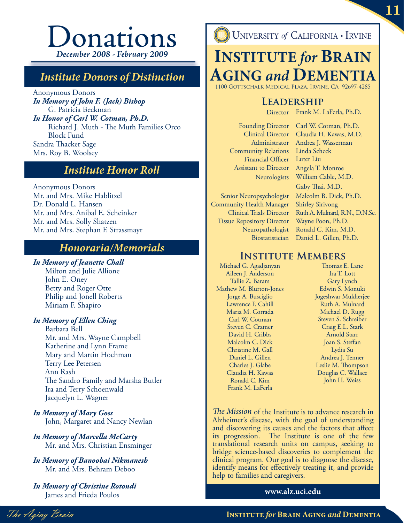# **Donations** *December 2008 - February 2009*

# *Institute Donors of Distinction*

Anonymous Donors *In Memory of John F. (Jack) Bishop* G. Patricia Beckman *In Honor of Carl W. Cotman, Ph.D.* Richard J. Muth - The Muth Families Orco Block Fund Sandra Thacker Sage Mrs. Roy B. Woolsey

# *Institute Honor Roll*

Anonymous Donors Mr. and Mrs. Mike Hablitzel Dr. Donald L. Hansen Mr. and Mrs. Anibal E. Scheinker Mr. and Mrs. Solly Shatzen Mr. and Mrs. Stephan F. Strassmayr

## *Honoraria/Memorials*

*In Memory of Jeanette Chall* Milton and Julie Allione John E. Oney Betty and Roger Otte Philip and Jonell Roberts Miriam F. Shapiro

### *In Memory of Ellen Ching*

Barbara Bell Mr. and Mrs. Wayne Campbell Katherine and Lynn Frame Mary and Martin Hochman Terry Lee Petersen Ann Rash The Sandro Family and Marsha Butler Ira and Terry Schoenwald Jacquelyn L. Wagner

*In Memory of Mary Goss* John, Margaret and Nancy Newlan

- *In Memory of Marcella McCarty* Mr. and Mrs. Christian Ensminger
- *In Memory of Banoobai Nikmanesh* Mr. and Mrs. Behram Deboo

*In Memory of Christine Rotondi* James and Frieda Poulos

**UNIVERSITY of CALIFORNIA - IRVINE** 

# **INSTITUTE** *for* **BRAIN AGING** and **DEMENT**

1100 Gottschalk Medical Plaza, Irvine, CA 92697-4285

## **Leadership**

Director Frank M. LaFerla, Ph.D.

Founding Director Clinical Director Administrator Community Relations Financial Officer Assistant to Director **Neurologists** 

Senior Neuropsychologist Community Health Manager Clinical Trials Director Tissue Repository Director Neuropathologist Biostatistician

Carl W. Cotman, Ph.D. Claudia H. Kawas, M.D. Andrea J. Wasserman Linda Scheck Luter Liu Angela T. Monroe William Cable, M.D. Gaby Thai, M.D. Malcolm B. Dick, Ph.D. Shirley Sirivong Ruth A. Mulnard, R.N., D.N.Sc. Wayne Poon, Ph.D. Ronald C. Kim, M.D. Daniel L. Gillen, Ph.D.

## **Institute Members**

Michael G. Agadjanyan Aileen J. Anderson Tallie Z. Baram Mathew M. Blurton-Jones Jorge A. Busciglio Lawrence F. Cahill Maria M. Corrada Carl W. Cotman Steven C. Cramer David H. Cribbs Malcolm C. Dick Christine M. Gall Daniel L. Gillen Charles J. Glabe Claudia H. Kawas Ronald C. Kim Frank M. LaFerla

Thomas E. Lane Ira T. Lott Gary Lynch Edwin S. Monuki Jogeshwar Mukherjee Ruth A. Mulnard Michael D. Rugg Steven S. Schreiber Craig E.L. Stark Arnold Starr Joan S. Steffan Lydia Su Andrea J. Tenner Leslie M. Thompson Douglas C. Wallace John H. Weiss

The Mission of the Institute is to advance research in Alzheimer's disease, with the goal of understanding and discovering its causes and the factors that affect its progression. The Institute is one of the few translational research units on campus, seeking to bridge science-based discoveries to complement the clinical program. Our goal is to diagnose the disease, identify means for effectively treating it, and provide help to families and caregivers.

### **www.alz.uci.edu**

The Aging Brain **Institute** *for* **Brain Aging** *and* **Dementia**